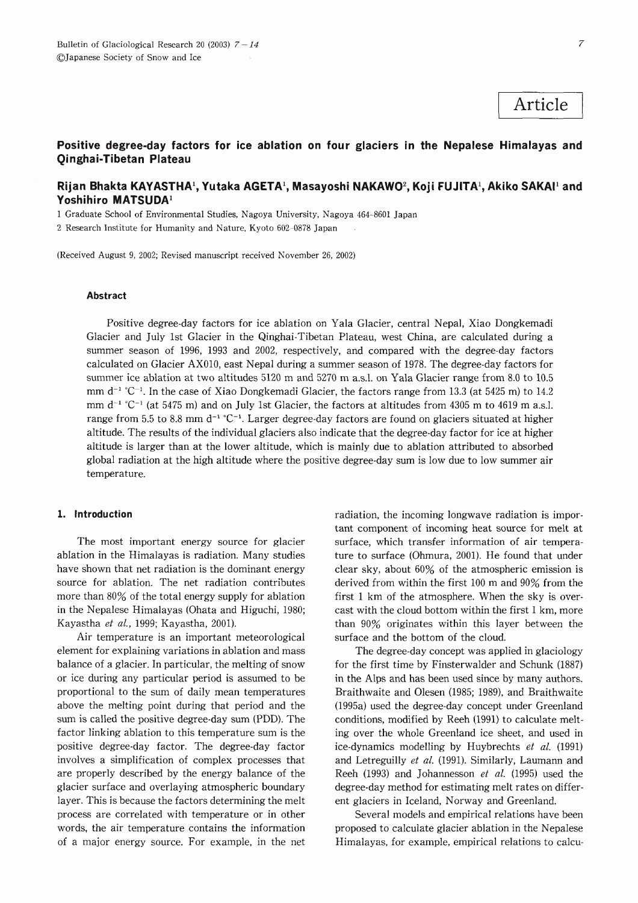# Article

# Positive degree-day factors for ice ablation on four glaciers in the Nepalese Himalayas and Qinghai・Tibetan PJateau

## Rijan Bhakta KAYASTHA<sup>1</sup>, Yutaka AGETA<sup>1</sup>, Masayoshi NAKAWO<sup>2</sup>, Koji FUJITA<sup>1</sup>, Akiko SAKAI<sup>1</sup> and Yoshihiro MATSUDAl

1 Graduate School of Environmental Studies, Nagoya University, Nagoya 464-8601 Japan

2 Research Institute for Humanity and Nature, Kyoto 602-0878 Japan

(Received August 9, 2002; Revised manuscript received November 26, 2002)

#### Abstract

Positive degree-day factors for ice ablation on Yala Glacier, central Nepal, Xiao Dongkemadi Glacier and July 1st Glacier in the Qinghai-Tibetan Plateau, west China, are calculated during a summer season of 1996, 1993 and 2002, respectively, and compared with the degree-day factors calculated on Glacier  $AX010$ , east Nepal during a summer season of 1978. The degree-day factors for summer ice ablation at two altitudes 5120 m and 5270 m a.s.l. on Yala Glacier range from 8.0 to 10.5 mm  $d^{-1}$  °C<sup>-1</sup>. In the case of Xiao Dongkemadi Glacier, the factors range from 13.3 (at 5425 m) to 14.2 mm d<sup>-1</sup> °C<sup>-1</sup> (at 5475 m) and on July 1st Glacier, the factors at altitudes from 4305 m to 4619 m a.s.l. range from 5.5 to 8.8 mm  $d^{-1}$  °C<sup>-1</sup>. Larger degree-day factors are found on glaciers situated at higher altitude. The results of the individual glaciers also indicate that the degree-day factor for ice at higher altitude is larger than at the lower altitude, which is mainly due to ablation attributed to absorbed global radiation at the high altitude where the positive degree-day sum is low due to low summer air temperature.

#### 1. Introduction

The most important energy source for glacier ablation in the Himalayas is radiation. Many studies have shown that net radiation is the dominant energy source for ablation. The net radiation contributes more than 80% of the total energy supply for ablation in the Nepalese Himalayas (Ohata and Higuchi, 1980; Kayastha et al., 1999; Kayastha, 2001).

Air temperature is an important meteorological element for explaining variations in ablation and mass balance of a glacier. In particular, the melting of snow or ice during any particular period is assumed to be proportional to the sum of daily mean temperatures above the melting point during that period and the sum is called the positive degree-day sum (PDD). The factor linking ablation to this temperature sum is the positive degree-day factor.The degree-day factor invoIves a simplification of complex processes that are properly described by the energy balance of the glacier surface and overlaying atmospheric boundary layer. This is because the factors determining the melt process are correlated with temperature or in other words, the air temperature contains the information of a major energy source. For example, in the net radiation, the incoming longwave radiation is important component of incoming heat source for melt at surface, which transfer information of air temperature to surface (Ohmura, 2001). He found that under clear sky, about  $60\%$  of the atmospheric emission is derived from within the first  $100 \text{ m}$  and  $90\%$  from the first  $1 \text{ km of the atmosphere}$ . When the sky is overcast with the cloud bottom within the first 1 km, more than  $90\%$  originates within this layer between the surface and the bottom of the cloud.

The degree-day concept was applied in glaciology for the first time by Finsterwalder and Schunk (1887) in the Alps and has been used since by many authors. Braithwaite and Olesen (1985; 1989), and Braithwaite (1995a) used the degree-day concept under Greenland conditions, modified by Reeh (1991) to calculate melting over the whole Greenland ice sheet, and used in ice-dynamics modelling by Huybrechts et al.(1991) and Letreguilly et al. (1991). Similarly, Laumann and Reeh (1993) and Johannesson et al. (1995) used the degree-day method for estimating melt rates on different glaciers in Iceland, Norway and Greenland.

Several models and empirical relations have been proposed to calculate glacier ablation in the Nepalese Himalayas, for example, empirical relations to calcu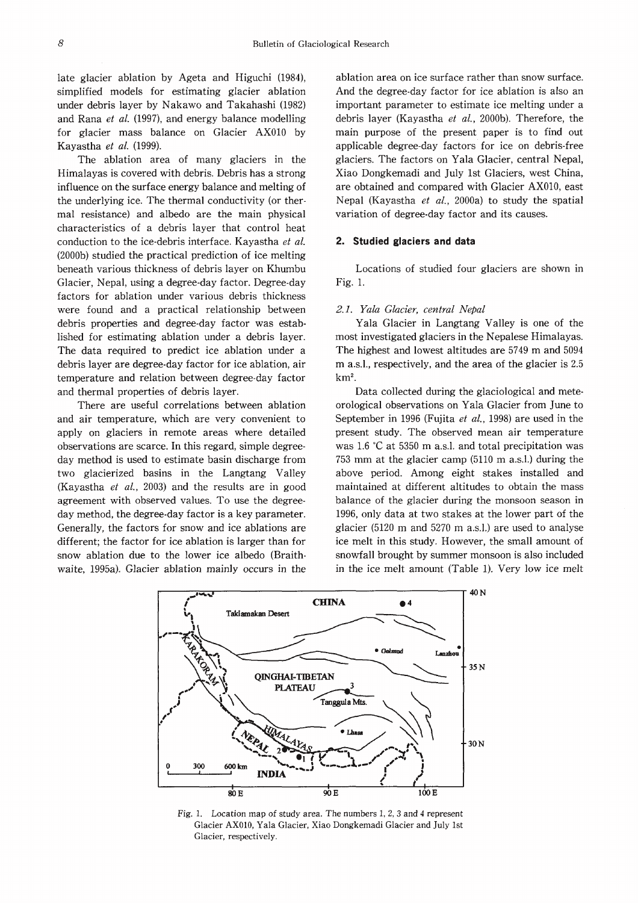late glacier ablation by Ageta and Higuchi (1984), simplified models for estimating glacier ablation under debris layer by Nakawo and Takahashi (1982) and Rana et al. (1997), and energy balance modelling for glacier mass balance on Glacier AX010 by Kayastha et al. (1999).

The ablation area of many glaciers in the Himalayas is covered with debris. Debris has a strong influence on the surface energy balance and melting of the underlying ice. The thermal conductivity (or thermal resistance) and albedo are the main physical characteristics of a debris layer that control heat conduction to the ice-debris interface. Kayastha et al. (2000b) studied the practical prediction of ice melting beneath various thickness of debris laver on Khumbu Glacier, Nepal, using a degree-day factor. Degree-day factors for ablation under various debris thickness were found and a practical relationship between debris properties and degree-day factor was established for estimating ablation under a debris layer. The data required to predict ice ablation under a debris layer are degree-day factor for ice ablation, air temperature and relation between degree-day factor and thermal properties of debris layer.

There are useful correlations between ablation and air temperature, which are very convenient to apply on glaciers in remote areas where detailed observations are scarce. In this regard, simple degreeday method is used to estimate basin discharge from two glacierized basins in the Langtang Valley (Kayastha et al., 2003) and the results are in good agreement with observed values. To use the degreeday method, the degree-day factor is a key parameter. Generally, the factors for snow and ice ablations are different; the factor for ice ablation is larger than for snow ablation due to the lower ice albedo (Braithwaite, 1995a). Glacier ablation mainly occurs in the

ablation area on ice surface rather than snow surface. And the degree-day factor for ice ablation is also an important parameter to estimate ice melting under a debris layer (Kayastha et al., 2000b). Therefore, the main purpose of the present paper is to find out applicable degree-day factors for ice on debris-free glaciers. The factors on Yala Glacier, central Nepal, Xiao Dongkemadi and July 1st Glaciers, west China, are obtained and compared with Glacier AX010, east Nepal (Kayastha et al., 2000a) to study the spatial variation of degree-day factor and its causes.

## 2. Studied glaciers and data

Locations of studied four glaciers are shown in Fig. 1.

#### 2.1. Yala Glacier, central Nepal

Yala Glacier in Langtang Valley is one of the most investigated glaciers in the Nepalese Himalayas. The highest and lowest altitudes are 5749 m and 5094 m a.s.l., respectively, and the area of the glacier is 2.5  $km<sup>2</sup>$ .

Data collected during the glaciological and meteorological observations on Yala Glacier from June to September in 1996 (Fujita et al., 1998) are used in the present study. The observed mean air temperature was 1.6 °C at 5350 m a.s.l. and total precipitation was 753 mm at the glacier camp (5110 m a.s.l.) during the above period. Among eight stakes installed and maintained at different altitudes to obtain the mass balance of the glacier during the monsoon season in 1996, only data at two stakes at the lower part of the glacier (5120 m and 5270 m a.s.l.) are used to analyse ice melt in this study. However, the small amount of snowfall brought by summer monsoon is also included in the ice melt amount (Table 1). Very low ice melt



Fig. 1. Location map of study area. The numbers 1, 2, 3 and 4 represent Glacier AX010, Yala Glacier, Xiao Dongkemadi Glacier and July 1st Glacier, respectively.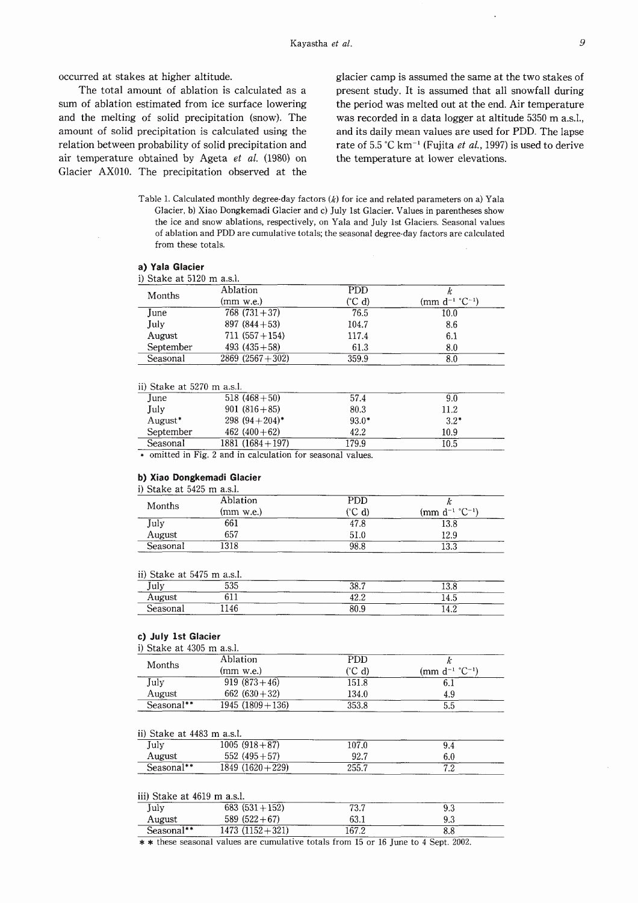occurred at stakes at higher altitude.

The total amount of ablation is calculated as a sum of ablation estimated from ice surface lowering and the melting of solid precipitation (snow). The amount of solid precipitation is calculated using the relation between probability of solid precipitation and air temperature obtained by Ageta et al. (1980) on Glacier AX010. The precipitation observed at the

glacier camp is assumed the same at the two stakes of present study. It is assumed that all snowfall during the period was melted out at the end. Air temperature was recorded in a data logger at altitude 5350 m a.s.l. and its daily mean values are used for PDD. The lapse rate of 5.5 °C km<sup>-1</sup> (Fujita *et al.*, 1997) is used to derive the temperature at lower elevations.

Table 1. Calculated monthly degree-day factors  $(k)$  for ice and related parameters on a) Yala Glacier, b) Xiao Dongkemadi Glacier and c) July 1st Glacier. Values in parentheses show the ice and snow ablations, respectively, on Yala and July 1st Glaciers. Seasonal values of ablation and PDD are cumulative totals; the seasonal degree-day factors are calculated from these totals.

#### a) Yala Glacier

| i) Stake at 5120 m a.s.l. |                  |            |                                 |
|---------------------------|------------------|------------|---------------------------------|
| Months                    | Ablation         | <b>PDD</b> |                                 |
|                           | (mm w.e.)        | (C d)      | (mm $d^{-1}$ °C <sup>-1</sup> ) |
| June                      | $768(731+37)$    | 76.5       | 10.0                            |
| July                      | $897(844+53)$    | 104.7      | 8.6                             |
| August                    | $711(557+154)$   | 117.4      | 6.1                             |
| September                 | $493(435+58)$    | 61.3       | 8.0                             |
| Seasonal                  | $2869(2567+302)$ | 359.9      | 8.0                             |
|                           |                  |            |                                 |

## ii) Stake at 5270 m  $a$ s 1

| II) Stant at 1470 III a.s.i. |                  |         |          |  |
|------------------------------|------------------|---------|----------|--|
| June                         | $518(468+50)$    | 57.4    | 9.0      |  |
| July                         | $901(816+85)$    | 80.3    | 11.2     |  |
| August*                      | $298(94+204)^*$  | $93.0*$ | $3.2*$   |  |
| September                    | 462 $(400+62)$   | 42.2    | 10.9     |  |
| Seasonal                     | $1881(1684+197)$ | 179.9   | $10.5\,$ |  |

\* omitted in Fig. 2 and in calculation for seasonal values.

### b) Xiao Dongkemadi Glacier

| Months   | Ablation    | PDD               |                                 |
|----------|-------------|-------------------|---------------------------------|
|          | $(mm$ w.e.) | (C <sub>d</sub> ) | (mm $d^{-1}$ °C <sup>-1</sup> ) |
| July     | 661         | 47.8              | 13.8                            |
| August   | 657         | 51.0              | 12.9                            |
| Seasonal | 1318        | 98.8              | $13.3\,$                        |

#### ii) Stake at 5475 m a.s.l.

| <b>July</b> | ------<br>535              | 38.7 | າງດ<br>19.0 |  |
|-------------|----------------------------|------|-------------|--|
| August      | $\sim$ $\sim$ $\sim$<br>** | 42.2 | 14.5        |  |
| Seasonal    | 146                        | 80.9 | 14.2        |  |

#### c) July 1st Glacier

| i) Stake at 4305 m a.s.l. |                  |                   |                                 |
|---------------------------|------------------|-------------------|---------------------------------|
| Months                    | Ablation         | <b>PDD</b>        |                                 |
|                           | $(mm$ w.e.)      | (C <sub>d</sub> ) | (mm $d^{-1}$ °C <sup>-1</sup> ) |
| July                      | $919(873+46)$    | 151.8             |                                 |
| August                    | 662 $(630+32)$   | 134.0             | 4.9                             |
| Seasonal**                | $1945(1809+136)$ | 353.8             | 5.5                             |

## ii) Stake at 4483 m a.s.l.

| July       | $1005(918+87)$   | 107.0 | 9.4 |
|------------|------------------|-------|-----|
| August     | $552(495+57)$    | 92.7  | 6.0 |
| Seasonal** | $1849(1620+229)$ | 255.7 |     |

### iii) Stake at 4619 m a.s.l.

| ∫ulv       | 683 $(531+152)$  | 73.7  | 9.3 |  |
|------------|------------------|-------|-----|--|
| August     | $589(522+67)$    | 63.1  | 9.3 |  |
| Seasonal** | $1473(1152+321)$ | 167.2 | 8.8 |  |

\*\* these seasonal values are cumulative totals from 15 or 16 June to 4 Sept. 2002.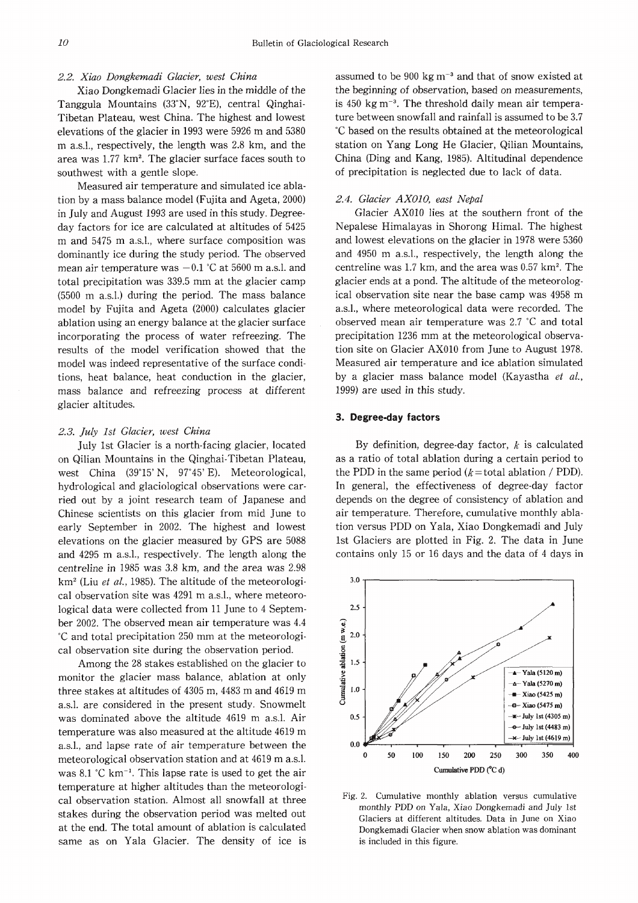## 2.2. Xiao Dongkemadi Glacier, west China

Xiao Dongkemadi Glacier lies in the middle of the Tanggula Mountains (33°N, 92°E), central Qinghai-Tibetan Plateau, west China. The highest and lowest elevations of the glacier in 1993 were 5926 m and 5380 m a.s.l., respectively, the length was 2.8 km, and the area was 1.77 km<sup>2</sup>. The glacier surface faces south to southwest with a gentle slope.

Measured air temperature and simulated ice ablation by a mass balance model (Fujita and Ageta, 2000) in July and August 1993 are used in this study. Degreeday factors for ice are calculated at altitudes of 5425 m and 5475 m a.s.l., where surface composition was dominantly ice during the study period. The observed mean air temperature was  $-0.1$  °C at 5600 m a.s.l. and total precipitation was 339.5 mm at the glacier camp (5500 m a.s.l.) during the period. The mass balance model by Fujita and Ageta (2000) calculates glacier ablation using an energy balance at the glacier surface incorporating the process of water refreezing. The results of the model verification showed that the model was indeed representative of the surface conditions, heat balance, heat conduction in the glacier, mass balance and refreezing process at different glacier altitudes.

#### 2.3. July 1st Glacier, west China

July 1st Glacier is a north-facing glacier, located on Qilian Mountains in the Qinghai-Tibetan Plateau, west China (39°15' N, 97°45' E). Meteorological, hydrological and glaciological observations were carried out by a joint research team of Japanese and Chinese scientists on this glacier from mid June to early September in 2002. The highest and lowest elevations on the glacier measured by GPS are 5088 and 4295 m a.s.l., respectively. The length along the centreline in 1985 was 3.8 km, and the area was 2.98  $km<sup>2</sup>$  (Liu et al., 1985). The altitude of the meteorological observation site was 4291 m a.s.l., where meteorological data were collected from 11 June to 4 September 2002. The observed mean air temperature was 4.4 °C and total precipitation 250 mm at the meteorological observation site during the observation period.

Among the 28 stakes established on the glacier to monitor the glacier mass balance, ablation at only three stakes at altitudes of 4305 m, 4483 m and 4619 m a.s.l. are considered in the present study. Snowmelt was dominated above the altitude 4619 m a.s.l. Air temperature was also measured at the altitude 4619 m a.s.l., and lapse rate of air temperature between the meteorological observation station and at 4619 m a.s.l. was 8.1 °C km<sup>-1</sup>. This lapse rate is used to get the air temperature at higher altitudes than the meteorological observation station. Almost all snowfall at three stakes during the observation period was melted out at the end. The total amount of ablation is calculated same as on Yala Glacier. The density of ice is

assumed to be 900 kg  $m^{-3}$  and that of snow existed at the beginning of observation, based on measurements, is 450 kg  $m^{-3}$ . The threshold daily mean air temperature between snowfall and rainfall is assumed to be 3.7 °C based on the results obtained at the meteorological station on Yang Long He Glacier, Qilian Mountains, China (Ding and Kang, 1985). Altitudinal dependence of precipitation is neglected due to lack of data.

## 2.4. Glacier AX010, east Nepal

Glacier AX010 lies at the southern front of the Nepalese Himalayas in Shorong Himal. The highest and lowest elevations on the glacier in 1978 were 5360 and 4950 m a.s.l., respectively, the length along the centreline was 1.7 km, and the area was 0.57 km<sup>2</sup>. The glacier ends at a pond. The altitude of the meteorological observation site near the base camp was 4958 m a.s.l., where meteorological data were recorded. The observed mean air temperature was 2.7 °C and total precipitation 1236 mm at the meteorological observation site on Glacier AX010 from June to August 1978. Measured air temperature and ice ablation simulated by a glacier mass balance model (Kayastha et al., 1999) are used in this study.

## 3. Degree-day factors

By definition, degree-day factor,  $k$  is calculated as a ratio of total ablation during a certain period to the PDD in the same period  $(k = total$  ablation / PDD). In general, the effectiveness of degree-day factor depends on the degree of consistency of ablation and air temperature. Therefore, cumulative monthly ablation versus PDD on Yala, Xiao Dongkemadi and July 1st Glaciers are plotted in Fig. 2. The data in June contains only 15 or 16 days and the data of 4 days in



Fig. 2. Cumulative monthly ablation versus cumulative monthly PDD on Yala, Xiao Dongkemadi and July 1st Glaciers at different altitudes. Data in June on Xiao Dongkemadi Glacier when snow ablation was dominant is included in this figure.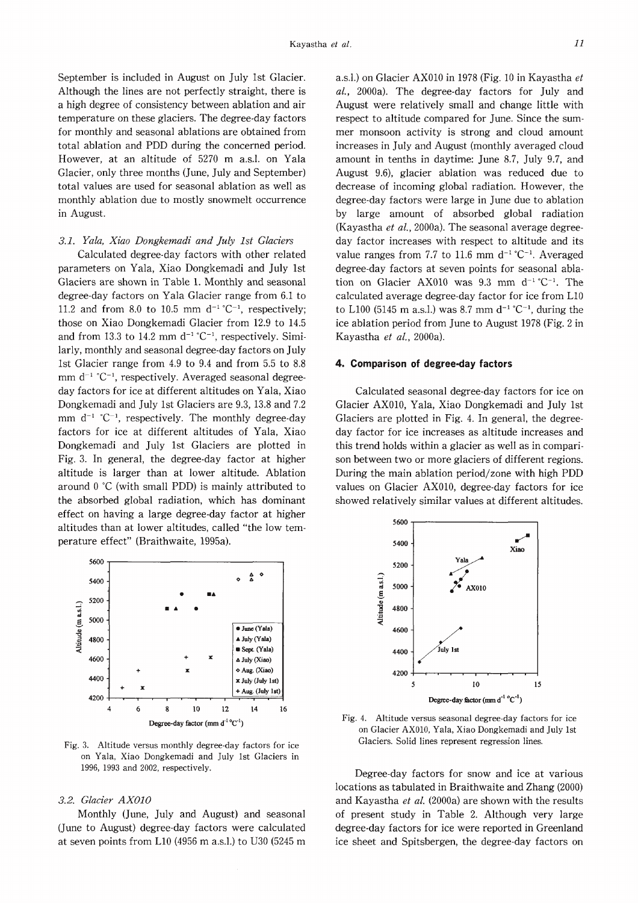September is included in August on July 1st Glacier. Although the lines are not perfectly straight, there is a high degree of consistency between ablation and air temperature on these glaciers. The degree-day factors for monthly and seasonal ablations are obtained from total ablation and PDD during the concerned period. However, at an altitude of 5270 m a.s.l. on Yala Glacier, only three months (June, July and September) total values are used for seasonal ablation as well as monthly ablation due to mostly snowmelt occurrence in August.

## 3.1. Yala, Xiao Dongkemadi and July 1st Glaciers

Calculated degree-day factors with other related parameters on Yala. Xiao Dongkemadi and July 1st Glaciers are shown in Table 1. Monthly and seasonal degree-day factors on Yala Glacier range from 6.1 to 11.2 and from 8.0 to 10.5 mm  $d^{-1}$  °C<sup>-1</sup>, respectively; those on Xiao Dongkemadi Glacier from 12.9 to 14.5 and from 13.3 to 14.2 mm  $d^{-1}$  °C<sup>-1</sup>, respectively. Similarly, monthly and seasonal degree-day factors on July 1st Glacier range from 4.9 to 9.4 and from 5.5 to 8.8 mm  $d^{-1}$  °C<sup>-1</sup>, respectively. Averaged seasonal degreeday factors for ice at different altitudes on Yala, Xiao Dongkemadi and July 1st Glaciers are 9.3, 13.8 and 7.2 mm  $d^{-1}$  °C<sup>-1</sup>, respectively. The monthly degree-day factors for ice at different altitudes of Yala, Xiao Dongkemadi and July 1st Glaciers are plotted in Fig. 3. In general, the degree-day factor at higher altitude is larger than at lower altitude. Ablation around 0 °C (with small PDD) is mainly attributed to the absorbed global radiation, which has dominant effect on having a large degree-day factor at higher altitudes than at lower altitudes, called "the low temperature effect" (Braithwaite, 1995a).



Fig. 3. Altitude versus monthly degree-day factors for ice on Yala, Xiao Dongkemadi and July 1st Glaciers in 1996, 1993 and 2002, respectively.

#### 3.2. Glacier AX010

Monthly (June, July and August) and seasonal (June to August) degree-day factors were calculated at seven points from L10 (4956 m a.s.l.) to U30 (5245 m

a.s.l.) on Glacier AX010 in 1978 (Fig. 10 in Kayastha et al., 2000a). The degree-day factors for July and August were relatively small and change little with respect to altitude compared for June. Since the summer monsoon activity is strong and cloud amount increases in July and August (monthly averaged cloud amount in tenths in daytime: June 8.7, July 9.7, and August 9.6), glacier ablation was reduced due to decrease of incoming global radiation. However, the degree-day factors were large in June due to ablation by large amount of absorbed global radiation (Kayastha et al., 2000a). The seasonal average degreeday factor increases with respect to altitude and its value ranges from 7.7 to 11.6 mm  $d^{-1}$  °C<sup>-1</sup>. Averaged degree-day factors at seven points for seasonal ablation on Glacier AX010 was 9.3 mm  $d^{-1}$  °C<sup>-1</sup>. The calculated average degree-day factor for ice from L10 to L100 (5145 m a.s.l.) was 8.7 mm d<sup>-1</sup> °C<sup>-1</sup>, during the ice ablation period from June to August 1978 (Fig. 2 in Kayastha et al., 2000a).

#### 4. Comparison of degree-day factors

Calculated seasonal degree-day factors for ice on Glacier AX010, Yala, Xiao Dongkemadi and July 1st Glaciers are plotted in Fig. 4. In general, the degreeday factor for ice increases as altitude increases and this trend holds within a glacier as well as in comparison between two or more glaciers of different regions. During the main ablation period/zone with high PDD values on Glacier AX010, degree-day factors for ice showed relatively similar values at different altitudes.



Fig. 4. Altitude versus seasonal degree-day factors for ice on Glacier AX010, Yala, Xiao Dongkemadi and July 1st Glaciers. Solid lines represent regression lines.

Degree-day factors for snow and ice at various locations as tabulated in Braithwaite and Zhang (2000) and Kayastha et al. (2000a) are shown with the results of present study in Table 2. Although very large degree-day factors for ice were reported in Greenland ice sheet and Spitsbergen, the degree-day factors on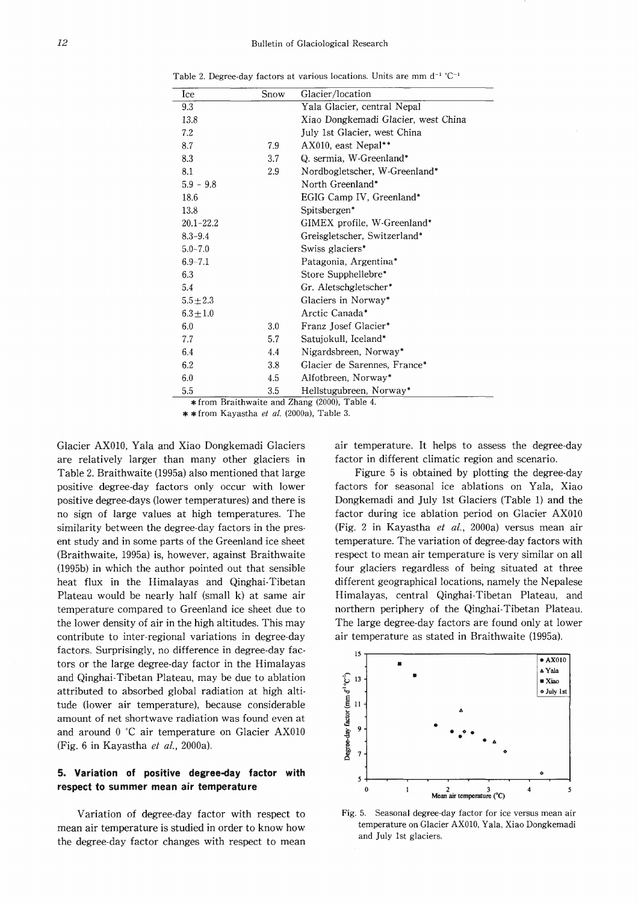| Ice           | Snow | Glacier/location                    |
|---------------|------|-------------------------------------|
| 9.3           |      | Yala Glacier, central Nepal         |
| 13.8          |      | Xiao Dongkemadi Glacier, west China |
| 7.2           |      | July 1st Glacier, west China        |
| 8.7           | 7.9  | AX010, east Nepal**                 |
| 8.3           | 3.7  | Q. sermia, W-Greenland*             |
| 8.1           | 2.9  | Nordbogletscher, W-Greenland*       |
| $5.9 - 9.8$   |      | North Greenland*                    |
| 18.6          |      | EGIG Camp IV, Greenland*            |
| 13.8          |      | Spitsbergen*                        |
| $20.1 - 22.2$ |      | GIMEX profile, W-Greenland*         |
| $8.3 - 9.4$   |      | Greisgletscher, Switzerland*        |
| $5.0 - 7.0$   |      | Swiss glaciers*                     |
| $6.9 - 7.1$   |      | Patagonia, Argentina*               |
| 6.3           |      | Store Supphellebre*                 |
| 5.4           |      | Gr. Aletschgletscher*               |
| $5.5 \pm 2.3$ |      | Glaciers in Norway*                 |
| $6.3 \pm 1.0$ |      | Arctic Canada*                      |
| 6.0           | 3.0  | Franz Josef Glacier*                |
| 7.7           | 5.7  | Satujokull, Iceland*                |
| 6.4           | 4.4  | Nigardsbreen, Norway*               |
| 6.2           | 3.8  | Glacier de Sarennes, France*        |
| 6.0           | 4.5  | Alfotbreen, Norway*                 |
| 5.5           | 3.5  | Hellstugubreen, Norway*             |

Table 2. Degree-day factors at various locations. Units are mm  $d^{-1}$  °C<sup>-1</sup>

\*from Braithwaite and Zhang (2000), Table 4.

\* \* from Kayastha et al. (2000a), Table 3.

Glacier AX010, Yala and Xiao Dongkemadi Glaciers are relatively larger than many other glaciers in Table 2. Braithwaite (1995a) also mentioned that large positive degree-day factors only occur with lower positive degree-days (lower temperatures) and there is no sign of large values at high temperatures. The similarity between the degree-day factors in the present study and in some parts of the Greenland ice sheet (Braithwaite, 1995a) is, however, against Braithwaite (1995b) in which the author pointed out that sensible heat flux in the Himalayas and Qinghai-Tibetan Plateau would be nearly half (small  $k$ ) at same air temperature compared to Greenland ice sheet due to the lower density of air in the high altitudes. This may contribute to inter-regional variations in degree-day factors. Surprisingly, no difference in degree-day factors or the large degree-day factor in the Himalayas and Qinghai-Tibetan Plateau, may be due to ablation attributed to absorbed global radiation at high altitude (lower air temperature), because considerable amount of net shortwave radiation was found even at and around  $0$  °C air temperature on Glacier AX010 (Fig. 6 in Kayastha et al., 2000a).

## 5. Variation of positive degree-day factor with respect to summer mean air temperature

Variation of degree-day factor with respect to mean air temperature is studied in order to know how the degree-day factor changes with respect to mean air temperature. It helps to assess the degree-day factor in different climatic region and scenario.

Figure 5 is obtained by plotting the degree-day factors for seasonal ice ablations on Yala, Xiao Dongkemadi and July 1st Glaciers (Table 1) and the factor during ice ablation period on Glacier AXOlO (Fig. 2 in Kayastha et al., 2000a) versus mean air temperature. The variation of degree-day factors with respect to mean air temperature is very similar on all four glaciers regardless of being situated at three different geographical locations, namely the Nepalese Himalayas, central Qinghai-Tibetan Plateau, and northern periphery of the Qinghai-Tibetan Plateau. The large degree-day factors are found only at lower air temperature as stated in Braithwaite (1995a).



Fig. 5. Seasonal degree-day factor for ice versus mean air temperature on Glacier AX010, Yala, Xiao Dongkemadi and July 1st glaciers.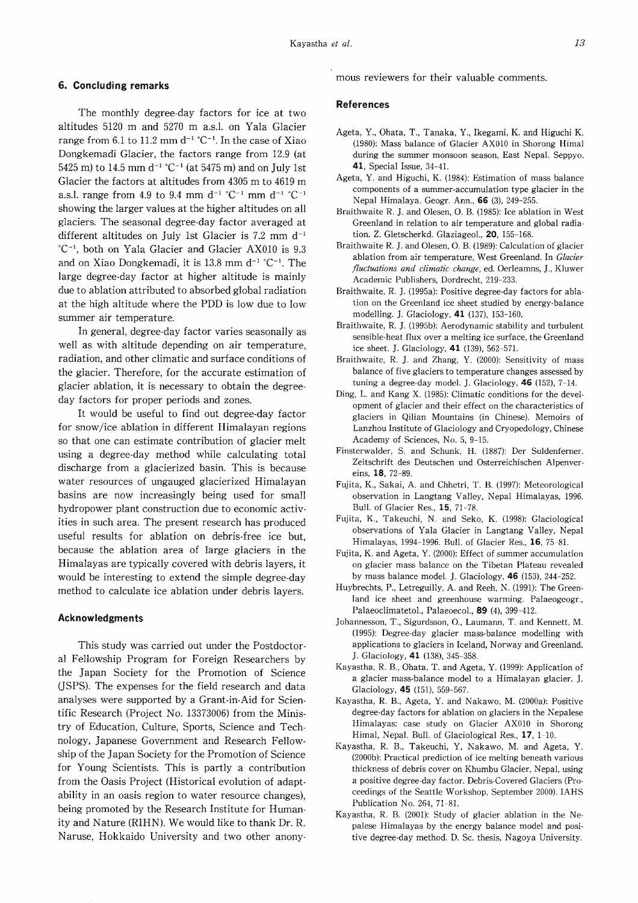## 6. Concluding remarks

The monthly degree-day factors for ice at two altitudes 5120 m and 5270 m a.s.l. on Yala Glacier range from 6.1 to 11.2 mm  $d^{-1}$  °C<sup>-1</sup>. In the case of Xiao Dongkemadi Glacier, the factors range from 12.9 (at 5425 m) to 14.5 mm d<sup>-1</sup> °C<sup>-1</sup> (at 5475 m) and on July 1st Glacier the factors at altitudes from  $4305$  m to  $4619$  m a.s.l. range from 4.9 to 9.4 mm d<sup>-1</sup> °C<sup>-1</sup> mm d<sup>-1</sup> °C<sup>-1</sup> showing the larger values at the higher altitudes on all glaciers. The seasonal degree-day factor averaged at different altitudes on July 1st Glacier is 7.2 mm  $d^{-1}$  $^{\circ}$ C<sup>-1</sup>, both on Yala Glacier and Glacier AX010 is 9.3 and on Xiao Dongkemadi, it is 13.8 mm  $d^{-1}$  °C<sup>-1</sup>. The large degree-day factor at higher altitude is mainly due to ablation attributed to absorbed global radiation at the high altitude where the PDD is low due to low summer air temperature.

In general, degree-day factor varies seasonally as well as with altitude depending on air temperature, radiation, and other climatic and surface conditions of the glacier. Therefore, for the accurate estimation of glacier ablation, it is necessary to obtain the degreeday factors for proper periods and zones.

It would be useful to find out degree-day factor for snow/ice ablation in different Himalayan regions so that one can estimate contribution of glacier melt using a degree-day method while calculating total discharge from a glacierized basin. This is because water resources of ungauged glacierized Himalayan basins are now increasingly being used for small hydropower plant construction due to economic activities in such area. The present research has produced useful results for ablation on debris-free ice but, because the ablation area of large glaciers in the Himalayas are typically covered with debris layers, it would be interesting to extend the simple degree-day method to calculate ice ablation under debris layers.

## **Acknowledgments**

This study was carried out under the Postdoctoral Fellowship Program for Foreign Researchers by the Japan Society for the Promotion of Science (JSPS). The expenses for the field research and data analyses were supported by a Grant-in-Aid for Scientific Research (Project No. 13373006) from the Ministry of Education, Culture, Sports, Science and Technology,Japanese Government and Research Fellow ship of the Japan Society for the Promotion of Science for Young Scientists. This is partly a contribution from the Oasis Project (Historical evolution of adaptability in an oasis region to water resource changes), being promoted by the Research Institute for Humanity and Nature (RIHN). We would like to thank Dr. R. Naruse, Hokkaido University and two other anony-

#### **References**

- Ageta, Y., Ohata, T., Tanaka, Y., Ikegami, K. and Higuchi K. (1980): Mass balance of Glacier  $AX010$  in Shorong Himal during the summer monsoon season, East Nepal. Seppyo, **41.** Special Issue, 34-41.
- Ageta, Y. and Higuchi, K. (1984): Estimation of mass balance components of a summer-accumulation type glacier in the Nepal Himalaya. Geogr. Ann., 66 (3), 249-255.
- Braithwaite R. J. and Olesen, O. B. (1985): Ice ablation in West Greenland in relation to air temperature and global radiation. Z. Gletscherkd. Glaziageol., 20, 155-168.
- Braithwaite R. J. and Olesen, O. B. (1989): Calculation of glacier ablation from air temperature, West Greenland. In Glacier fluctuations and climatic change, ed. Oerleamns, L. Kluwer Academic Publishers, Dordrecht, 219-233.
- Braithwaite, R. J. (1995a): Positive degree-day factors for ablation on the Greenland ice sheet studied by energy-balance modelling. J. Glaciology, **41** (137), 153-160.
- Braithwaite, R. J. (1995b): Aerodynamic stability and turbulent sensible-heat flux over a melting ice surface, the Greenland ice sheet. J. Glaciology,  $41$  (139), 562-571.
- Braithwaite, R. J. and Zhang, Y. (2000): Sensitivity of mass balance of five glaciers to temperature changes assessed by tuning a degree-day model. J. Glaciology,  $46$  (152), 7-14.
- Ding, L. and Kang X. (1985): Climatic conditions for the development of glacier and their effect on the characteristics of glaciers in Qilian Mountains (in Chinese). Memoirs of Lanzhou Institute of Glaciology and Cryopedology, Chinese Academy of Sciences, No. 5, 9-15.
- Finsterwalder, S. and Schunk, H. (1887): Der Suldenferner. Zeitschrift des Deutschen und Osterreichischen Alpenver eins,18,72-89.
- Fujita, K., Sakai, A. and Chhetri, T. B. (1997): Meteorological observation in Langtang Valley, Nepal Himalayas, 1996. Bull. of Glacier Res., **15**, 71-78.
- Fujita, K., Takeuchi, N. and Seko, K. (1998): Glaciological observations of Yala Glacier in Langtang Valley, Nepal Himalayas, 1994-1996. Bull. of Glacier Res., **16**, 75-81.
- Fujita, K. and Ageta, Y. (2000): Effect of summer accumulation On glacier massbalance on the Tibetan Plateau revealed by mass balance model. J. Glaciology, 46 (153), 244-252.
- Huybrechts, P., Letreguilly, A. and Reeh, N. (1991): The Greenland ice sheet and greenhouse warming. Palaeogeogr., Palaeoclimatetol., Palaeoecol., 89 (4), 399-412.
- Johannesson, T., Sigurdsson, O., Laumann, T. and Kennett, M. (1995): Degree-day glacier mass-balance modelling with applications to glaciers in Iceland, Norway and Greenland. J. Glaciology, **41** (138), 345-358.
- Kayastha, R. B., Ohata, T. and Ageta, Y. (1999): Application of a glacier mass-balance model to a Himalayan glacier. J. Glaciology,45(151),559-567.
- Kayastha, R. B., Ageta, Y. and Nakawo, M. (2000a): Positive degree-day factors for ablation on glaciers in the Nepalese Himalayas: case study on Glacier AX010 in Shorong Himal, Nepal. Bull. of Glaciological Res.,  $17$ ,  $1-10$ .
- Kayastha, R. B., Takeuchi, Y, Nakawo, M. and Ageta, Y. (2000b): Practical prediction of ice melting beneath various thickness of debris cover on Khumbu Glacier, Nepal, using a positive degree-day factor. Debris-Covered Glaciers (Proceedings of the Seattle Workshop, September 2000). IAHS Publication No. 264, 71-81.
- Kayastha, R. B. (2001): Study of glacier ablation in the Nepalese Himalayas by the energy balance model and positive degree-day method. D. Sc. thesis, Nagoya University.